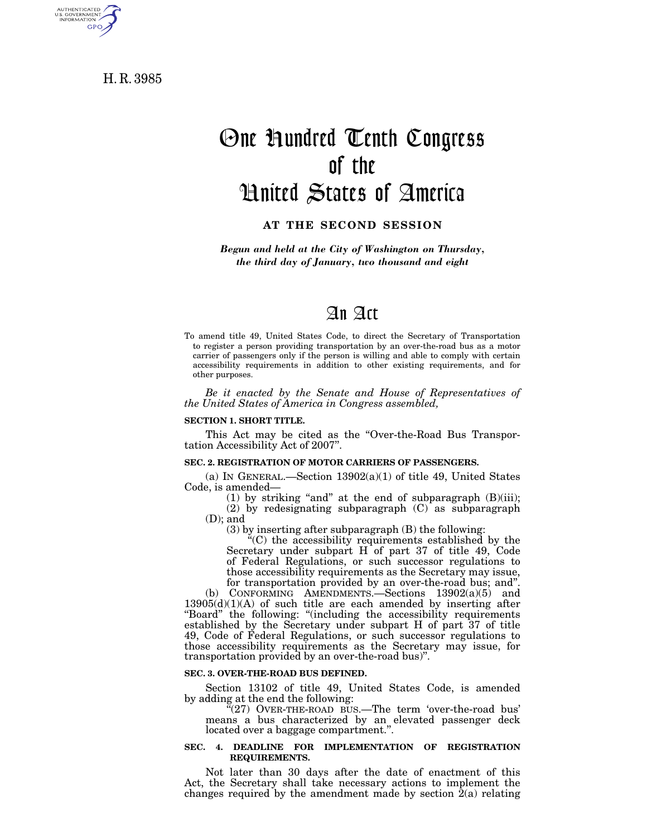H. R. 3985

AUTHENTICATED<br>U.S. GOVERNMENT<br>INFORMATION

GPO

# One Hundred Tenth Congress of the United States of America

## **AT THE SECOND SESSION**

*Begun and held at the City of Washington on Thursday, the third day of January, two thousand and eight* 

# An Act

To amend title 49, United States Code, to direct the Secretary of Transportation to register a person providing transportation by an over-the-road bus as a motor carrier of passengers only if the person is willing and able to comply with certain accessibility requirements in addition to other existing requirements, and for other purposes.

*Be it enacted by the Senate and House of Representatives of the United States of America in Congress assembled,* 

#### **SECTION 1. SHORT TITLE.**

This Act may be cited as the "Over-the-Road Bus Transportation Accessibility Act of 2007''.

#### **SEC. 2. REGISTRATION OF MOTOR CARRIERS OF PASSENGERS.**

(a) IN GENERAL.—Section  $13902(a)(1)$  of title 49, United States Code, is amended—

(1) by striking "and" at the end of subparagraph  $(B)(iii)$ ;

 $(2)$  by redesignating subparagraph  $(C)$  as subparagraph (D); and

(3) by inserting after subparagraph (B) the following:

''(C) the accessibility requirements established by the Secretary under subpart H of part 37 of title 49, Code of Federal Regulations, or such successor regulations to those accessibility requirements as the Secretary may issue, for transportation provided by an over-the-road bus; and''.

(b) CONFORMING AMENDMENTS.—Sections  $13902(a)(5)$  and 13905(d)(1)(A) of such title are each amended by inserting after ''Board'' the following: ''(including the accessibility requirements established by the Secretary under subpart H of part 37 of title 49, Code of Federal Regulations, or such successor regulations to those accessibility requirements as the Secretary may issue, for transportation provided by an over-the-road bus)''.

#### **SEC. 3. OVER-THE-ROAD BUS DEFINED.**

Section 13102 of title 49, United States Code, is amended by adding at the end the following:

"(27) OVER-THE-ROAD BUS.—The term 'over-the-road bus' means a bus characterized by an elevated passenger deck located over a baggage compartment.''.

#### **SEC. 4. DEADLINE FOR IMPLEMENTATION OF REGISTRATION REQUIREMENTS.**

Not later than 30 days after the date of enactment of this Act, the Secretary shall take necessary actions to implement the changes required by the amendment made by section  $\hat{2}(a)$  relating